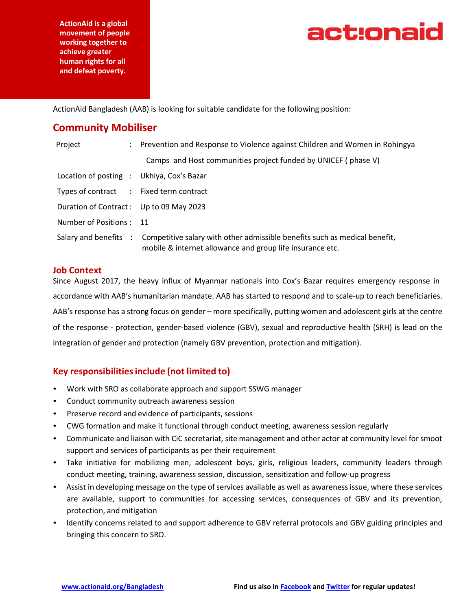**ActionAid is a global movement of people working together to achieve greater human rights for all and defeat poverty.**



ActionAid Bangladesh (AAB) is looking for suitable candidate for the following position:

# **Community Mobiliser**

| Project                                   | : Prevention and Response to Violence against Children and Women in Rohingya                                                            |
|-------------------------------------------|-----------------------------------------------------------------------------------------------------------------------------------------|
|                                           | Camps and Host communities project funded by UNICEF (phase V)                                                                           |
| Location of posting : Ukhiya, Cox's Bazar |                                                                                                                                         |
| Types of contract : Fixed term contract   |                                                                                                                                         |
| Duration of Contract: Up to 09 May 2023   |                                                                                                                                         |
| Number of Positions: 11                   |                                                                                                                                         |
| Salary and benefits :                     | Competitive salary with other admissible benefits such as medical benefit,<br>mobile & internet allowance and group life insurance etc. |

#### **Job Context**

Since August 2017, the heavy influx of Myanmar nationals into Cox's Bazar requires emergency response in accordance with AAB's humanitarian mandate. AAB has started to respond and to scale-up to reach beneficiaries. AAB's response has a strong focus on gender – more specifically, putting women and adolescent girls at the centre of the response - protection, gender-based violence (GBV), sexual and reproductive health (SRH) is lead on the integration of gender and protection (namely GBV prevention, protection and mitigation).

# **Key responsibilitiesinclude (not limited to)**

- Work with SRO as collaborate approach and support SSWG manager
- Conduct community outreach awareness session
- Preserve record and evidence of participants, sessions
- CWG formation and make it functional through conduct meeting, awareness session regularly
- Communicate and liaison with CiC secretariat, site management and other actor at community level for smoot support and services of participants as per their requirement
- Take initiative for mobilizing men, adolescent boys, girls, religious leaders, community leaders through conduct meeting, training, awareness session, discussion, sensitization and follow-up progress
- Assist in developing message on the type of services available as well as awareness issue, where these services are available, support to communities for accessing services, consequences of GBV and its prevention, protection, and mitigation
- Identify concerns related to and support adherence to GBV referral protocols and GBV guiding principles and bringing this concern to SRO.